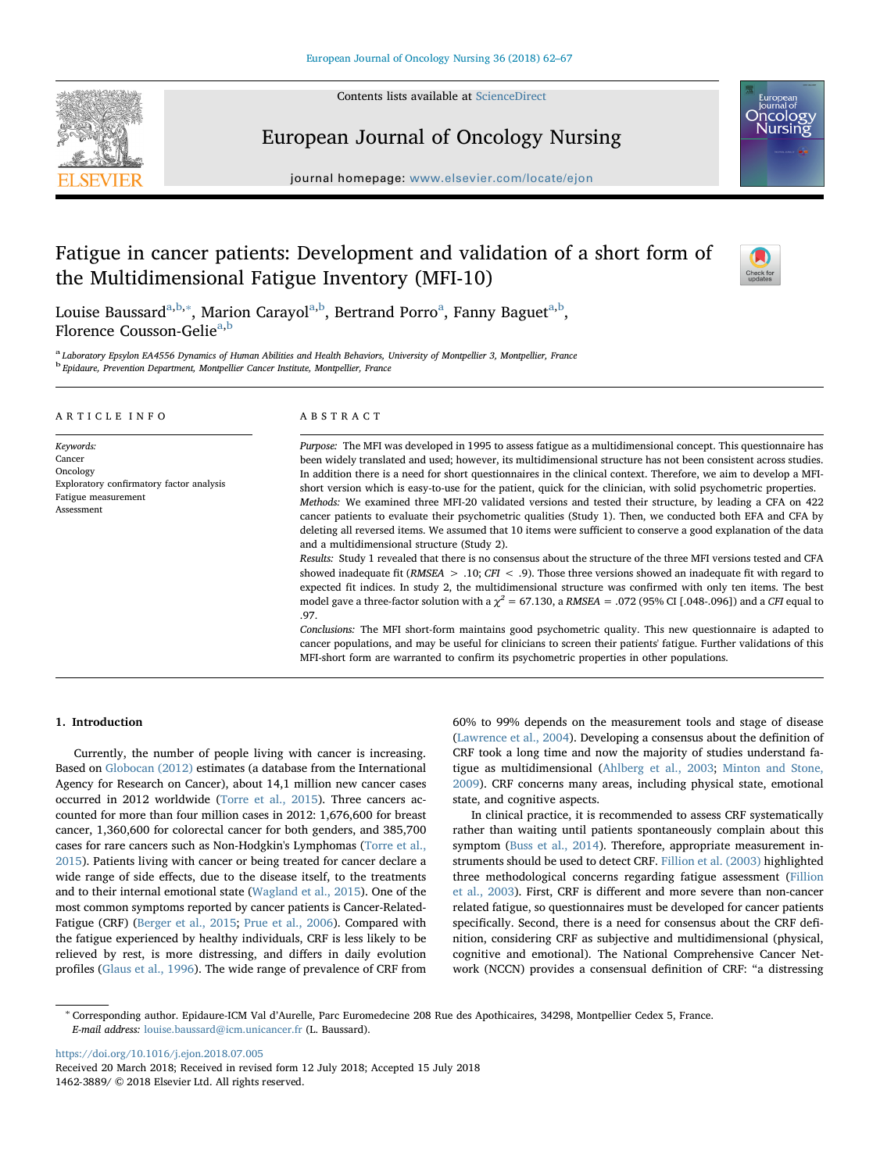Contents lists available at [ScienceDirect](http://www.sciencedirect.com/science/journal/14623889)





## European Journal of Oncology Nursing

journal homepage: [www.elsevier.com/locate/ejon](https://www.elsevier.com/locate/ejon)

# Fatigue in cancer patients: Development and validation of a short form of the Multidimensional Fatigue Inventory (MFI-10)



Louise Baussard<sup>[a,](#page-0-0)[b](#page-0-1),</sup>\*, M[a](#page-0-0)rion Carayol<sup>a,b</sup>, Bertrand Porro<sup>a</sup>, Fanny Baguet<sup>a,b</sup>, Florence Cousson-Gelie<sup>[a](#page-0-0)[,b](#page-0-1)</sup>

<span id="page-0-1"></span><span id="page-0-0"></span>a Laboratory Epsylon EA4556 Dynamics of Human Abilities and Health Behaviors, University of Montpellier 3, Montpellier, France <sup>b</sup> Epidaure, Prevention Department, Montpellier Cancer Institute, Montpellier, France

| ARTICLE INFO | A B S T R A C T                                                                                                       |
|--------------|-----------------------------------------------------------------------------------------------------------------------|
| Keywords:    | <i>Purpose:</i> The MFI was developed in 1995 to assess fatigue as a multidimensional concept. This questionnaire has |
| Cancer       | heen widely translated and used; however, its multidimensional structure has not been consistent across studies       |

Cancer **Oncology** Exploratory confirmatory factor analysis Fatigue measurement Assessment

been widely translated and used; however, its multidimensional structure has not been consistent across studies. In addition there is a need for short questionnaires in the clinical context. Therefore, we aim to develop a MFIshort version which is easy-to-use for the patient, quick for the clinician, with solid psychometric properties. Methods: We examined three MFI-20 validated versions and tested their structure, by leading a CFA on 422 cancer patients to evaluate their psychometric qualities (Study 1). Then, we conducted both EFA and CFA by deleting all reversed items. We assumed that 10 items were sufficient to conserve a good explanation of the data and a multidimensional structure (Study 2).

Results: Study 1 revealed that there is no consensus about the structure of the three MFI versions tested and CFA showed inadequate fit (RMSEA  $> .10$ ; CFI < .9). Those three versions showed an inadequate fit with regard to expected fit indices. In study 2, the multidimensional structure was confirmed with only ten items. The best model gave a three-factor solution with a  $\chi^2$  = 67.130, a RMSEA = .072 (95% CI [.048-.096]) and a CFI equal to .97.

Conclusions: The MFI short-form maintains good psychometric quality. This new questionnaire is adapted to cancer populations, and may be useful for clinicians to screen their patients' fatigue. Further validations of this MFI-short form are warranted to confirm its psychometric properties in other populations.

## 1. Introduction

Currently, the number of people living with cancer is increasing. Based on [Globocan \(2012\)](#page-4-0) estimates (a database from the International Agency for Research on Cancer), about 14,1 million new cancer cases occurred in 2012 worldwide [\(Torre et al., 2015](#page-5-0)). Three cancers accounted for more than four million cases in 2012: 1,676,600 for breast cancer, 1,360,600 for colorectal cancer for both genders, and 385,700 cases for rare cancers such as Non-Hodgkin's Lymphomas ([Torre et al.,](#page-5-0) [2015\)](#page-5-0). Patients living with cancer or being treated for cancer declare a wide range of side effects, due to the disease itself, to the treatments and to their internal emotional state ([Wagland et al., 2015](#page-5-1)). One of the most common symptoms reported by cancer patients is Cancer-Related-Fatigue (CRF) ([Berger et al., 2015](#page-4-1); [Prue et al., 2006\)](#page-5-2). Compared with the fatigue experienced by healthy individuals, CRF is less likely to be relieved by rest, is more distressing, and differs in daily evolution profiles [\(Glaus et al., 1996](#page-4-2)). The wide range of prevalence of CRF from

60% to 99% depends on the measurement tools and stage of disease ([Lawrence et al., 2004](#page-5-3)). Developing a consensus about the definition of CRF took a long time and now the majority of studies understand fatigue as multidimensional [\(Ahlberg et al., 2003](#page-4-3); [Minton and Stone,](#page-5-4) [2009\)](#page-5-4). CRF concerns many areas, including physical state, emotional state, and cognitive aspects.

In clinical practice, it is recommended to assess CRF systematically rather than waiting until patients spontaneously complain about this symptom [\(Buss et al., 2014\)](#page-4-4). Therefore, appropriate measurement instruments should be used to detect CRF. [Fillion et al. \(2003\)](#page-4-5) highlighted three methodological concerns regarding fatigue assessment ([Fillion](#page-4-5) [et al., 2003](#page-4-5)). First, CRF is different and more severe than non-cancer related fatigue, so questionnaires must be developed for cancer patients specifically. Second, there is a need for consensus about the CRF definition, considering CRF as subjective and multidimensional (physical, cognitive and emotional). The National Comprehensive Cancer Network (NCCN) provides a consensual definition of CRF: "a distressing

<https://doi.org/10.1016/j.ejon.2018.07.005>

<span id="page-0-2"></span><sup>∗</sup> Corresponding author. Epidaure-ICM Val d'Aurelle, Parc Euromedecine 208 Rue des Apothicaires, 34298, Montpellier Cedex 5, France. E-mail address: [louise.baussard@icm.unicancer.fr](mailto:louise.baussard@icm.unicancer.fr) (L. Baussard).

Received 20 March 2018; Received in revised form 12 July 2018; Accepted 15 July 2018 1462-3889/ © 2018 Elsevier Ltd. All rights reserved.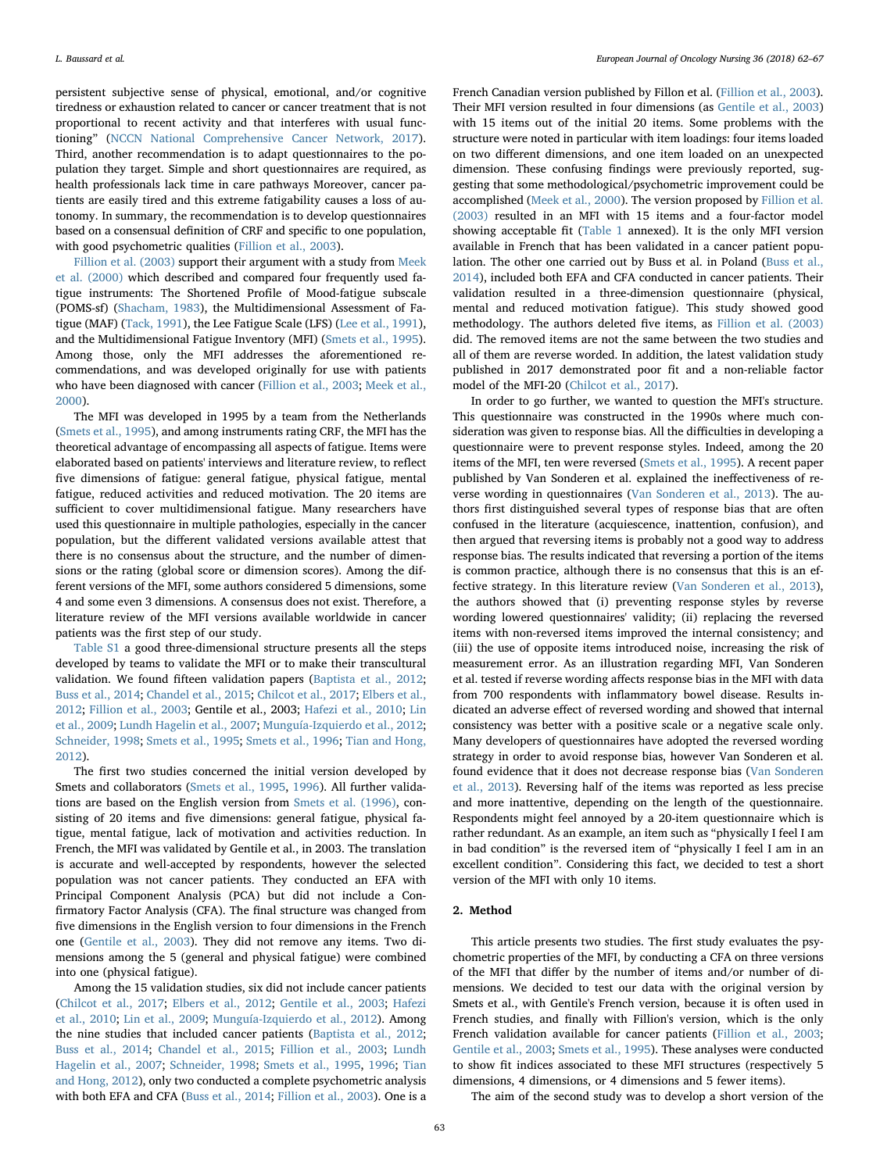persistent subjective sense of physical, emotional, and/or cognitive tiredness or exhaustion related to cancer or cancer treatment that is not proportional to recent activity and that interferes with usual functioning" ([NCCN National Comprehensive Cancer Network, 2017](#page-5-5)). Third, another recommendation is to adapt questionnaires to the population they target. Simple and short questionnaires are required, as health professionals lack time in care pathways Moreover, cancer patients are easily tired and this extreme fatigability causes a loss of autonomy. In summary, the recommendation is to develop questionnaires based on a consensual definition of CRF and specific to one population, with good psychometric qualities ([Fillion et al., 2003\)](#page-4-5).

[Fillion et al. \(2003\)](#page-4-5) support their argument with a study from [Meek](#page-5-6) [et al. \(2000\)](#page-5-6) which described and compared four frequently used fatigue instruments: The Shortened Profile of Mood-fatigue subscale (POMS-sf) ([Shacham, 1983](#page-5-7)), the Multidimensional Assessment of Fatigue (MAF) ([Tack, 1991\)](#page-5-8), the Lee Fatigue Scale (LFS) [\(Lee et al., 1991](#page-5-9)), and the Multidimensional Fatigue Inventory (MFI) ([Smets et al., 1995](#page-5-10)). Among those, only the MFI addresses the aforementioned recommendations, and was developed originally for use with patients who have been diagnosed with cancer ([Fillion et al., 2003;](#page-4-5) [Meek et al.,](#page-5-6) [2000\)](#page-5-6).

The MFI was developed in 1995 by a team from the Netherlands ([Smets et al., 1995](#page-5-10)), and among instruments rating CRF, the MFI has the theoretical advantage of encompassing all aspects of fatigue. Items were elaborated based on patients' interviews and literature review, to reflect five dimensions of fatigue: general fatigue, physical fatigue, mental fatigue, reduced activities and reduced motivation. The 20 items are sufficient to cover multidimensional fatigue. Many researchers have used this questionnaire in multiple pathologies, especially in the cancer population, but the different validated versions available attest that there is no consensus about the structure, and the number of dimensions or the rating (global score or dimension scores). Among the different versions of the MFI, some authors considered 5 dimensions, some 4 and some even 3 dimensions. A consensus does not exist. Therefore, a literature review of the MFI versions available worldwide in cancer patients was the first step of our study.

Table S1 a good three-dimensional structure presents all the steps developed by teams to validate the MFI or to make their transcultural validation. We found fifteen validation papers [\(Baptista et al., 2012](#page-4-6); [Buss et al., 2014](#page-4-4); [Chandel et al., 2015;](#page-4-7) [Chilcot et al., 2017](#page-4-8); [Elbers et al.,](#page-4-9) [2012;](#page-4-9) [Fillion et al., 2003](#page-4-5); Gentile et al., 2003; [Hafezi et al., 2010;](#page-4-10) [Lin](#page-5-11) [et al., 2009;](#page-5-11) [Lundh Hagelin et al., 2007;](#page-5-12) [Munguía-Izquierdo et al., 2012](#page-5-13); [Schneider, 1998;](#page-5-14) Smets [et al., 1995](#page-5-10); [Smets et al., 1996;](#page-5-15) [Tian and Hong,](#page-5-16) [2012\)](#page-5-16).

The first two studies concerned the initial version developed by Smets and collaborators ([Smets et al., 1995](#page-5-10), [1996](#page-5-15)). All further validations are based on the English version from [Smets et al. \(1996\)](#page-5-15), consisting of 20 items and five dimensions: general fatigue, physical fatigue, mental fatigue, lack of motivation and activities reduction. In French, the MFI was validated by Gentile et al., in 2003. The translation is accurate and well-accepted by respondents, however the selected population was not cancer patients. They conducted an EFA with Principal Component Analysis (PCA) but did not include a Confirmatory Factor Analysis (CFA). The final structure was changed from five dimensions in the English version to four dimensions in the French one [\(Gentile et al., 2003\)](#page-4-11). They did not remove any items. Two dimensions among the 5 (general and physical fatigue) were combined into one (physical fatigue).

Among the 15 validation studies, six did not include cancer patients ([Chilcot et al., 2017](#page-4-8); [Elbers et al., 2012](#page-4-9); [Gentile et al., 2003;](#page-4-11) [Hafezi](#page-4-10) [et al., 2010;](#page-4-10) [Lin et al., 2009](#page-5-11); [Munguía-Izquierdo et al., 2012](#page-5-13)). Among the nine studies that included cancer patients ([Baptista et al., 2012](#page-4-6); [Buss et al., 2014;](#page-4-4) [Chandel et al., 2015;](#page-4-7) [Fillion et al., 2003](#page-4-5); [Lundh](#page-5-12) [Hagelin et al., 2007;](#page-5-12) [Schneider, 1998](#page-5-14); [Smets et al., 1995](#page-5-10), [1996;](#page-5-15) [Tian](#page-5-16) [and Hong, 2012\)](#page-5-16), only two conducted a complete psychometric analysis with both EFA and CFA ([Buss et al., 2014;](#page-4-4) [Fillion et al., 2003\)](#page-4-5). One is a

French Canadian version published by Fillon et al. ([Fillion et al., 2003](#page-4-5)). Their MFI version resulted in four dimensions (as [Gentile et al., 2003\)](#page-4-11) with 15 items out of the initial 20 items. Some problems with the structure were noted in particular with item loadings: four items loaded on two different dimensions, and one item loaded on an unexpected dimension. These confusing findings were previously reported, suggesting that some methodological/psychometric improvement could be accomplished ([Meek et al., 2000](#page-5-6)). The version proposed by [Fillion et al.](#page-4-5) [\(2003\)](#page-4-5) resulted in an MFI with 15 items and a four-factor model showing acceptable fit (Table 1 annexed). It is the only MFI version available in French that has been validated in a cancer patient population. The other one carried out by Buss et al. in Poland ([Buss et al.,](#page-4-4) [2014\)](#page-4-4), included both EFA and CFA conducted in cancer patients. Their validation resulted in a three-dimension questionnaire (physical, mental and reduced motivation fatigue). This study showed good methodology. The authors deleted five items, as [Fillion et al. \(2003\)](#page-4-5) did. The removed items are not the same between the two studies and all of them are reverse worded. In addition, the latest validation study published in 2017 demonstrated poor fit and a non-reliable factor model of the MFI-20 ([Chilcot et al., 2017](#page-4-8)).

In order to go further, we wanted to question the MFI's structure. This questionnaire was constructed in the 1990s where much consideration was given to response bias. All the difficulties in developing a questionnaire were to prevent response styles. Indeed, among the 20 items of the MFI, ten were reversed [\(Smets et al., 1995\)](#page-5-10). A recent paper published by Van Sonderen et al. explained the ineffectiveness of reverse wording in questionnaires [\(Van Sonderen et al., 2013\)](#page-5-17). The authors first distinguished several types of response bias that are often confused in the literature (acquiescence, inattention, confusion), and then argued that reversing items is probably not a good way to address response bias. The results indicated that reversing a portion of the items is common practice, although there is no consensus that this is an effective strategy. In this literature review [\(Van Sonderen et al., 2013](#page-5-17)), the authors showed that (i) preventing response styles by reverse wording lowered questionnaires' validity; (ii) replacing the reversed items with non-reversed items improved the internal consistency; and (iii) the use of opposite items introduced noise, increasing the risk of measurement error. As an illustration regarding MFI, Van Sonderen et al. tested if reverse wording affects response bias in the MFI with data from 700 respondents with inflammatory bowel disease. Results indicated an adverse effect of reversed wording and showed that internal consistency was better with a positive scale or a negative scale only. Many developers of questionnaires have adopted the reversed wording strategy in order to avoid response bias, however Van Sonderen et al. found evidence that it does not decrease response bias [\(Van Sonderen](#page-5-17) [et al., 2013](#page-5-17)). Reversing half of the items was reported as less precise and more inattentive, depending on the length of the questionnaire. Respondents might feel annoyed by a 20-item questionnaire which is rather redundant. As an example, an item such as "physically I feel I am in bad condition" is the reversed item of "physically I feel I am in an excellent condition". Considering this fact, we decided to test a short version of the MFI with only 10 items.

## 2. Method

This article presents two studies. The first study evaluates the psychometric properties of the MFI, by conducting a CFA on three versions of the MFI that differ by the number of items and/or number of dimensions. We decided to test our data with the original version by Smets et al., with Gentile's French version, because it is often used in French studies, and finally with Fillion's version, which is the only French validation available for cancer patients ([Fillion et al., 2003](#page-4-5); [Gentile et al., 2003;](#page-4-11) [Smets et al., 1995\)](#page-5-10). These analyses were conducted to show fit indices associated to these MFI structures (respectively 5 dimensions, 4 dimensions, or 4 dimensions and 5 fewer items).

The aim of the second study was to develop a short version of the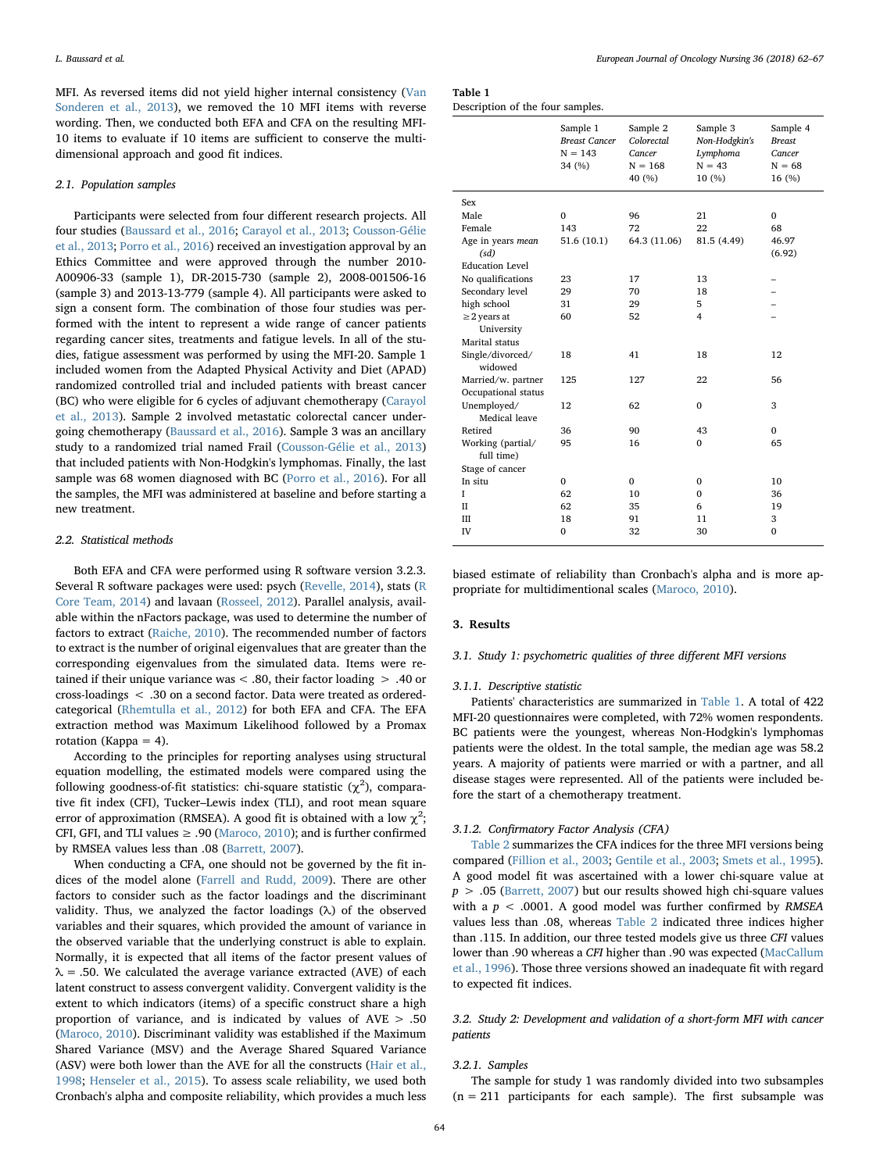MFI. As reversed items did not yield higher internal consistency ([Van](#page-5-17) [Sonderen et al., 2013\)](#page-5-17), we removed the 10 MFI items with reverse wording. Then, we conducted both EFA and CFA on the resulting MFI-10 items to evaluate if 10 items are sufficient to conserve the multidimensional approach and good fit indices.

#### 2.1. Population samples

Participants were selected from four different research projects. All four studies ([Baussard et al., 2016](#page-4-12); [Carayol et al., 2013](#page-4-13); [Cousson-Gélie](#page-4-14) [et al., 2013;](#page-4-14) [Porro et al., 2016\)](#page-5-18) received an investigation approval by an Ethics Committee and were approved through the number 2010- A00906-33 (sample 1), DR-2015-730 (sample 2), 2008-001506-16 (sample 3) and 2013-13-779 (sample 4). All participants were asked to sign a consent form. The combination of those four studies was performed with the intent to represent a wide range of cancer patients regarding cancer sites, treatments and fatigue levels. In all of the studies, fatigue assessment was performed by using the MFI-20. Sample 1 included women from the Adapted Physical Activity and Diet (APAD) randomized controlled trial and included patients with breast cancer (BC) who were eligible for 6 cycles of adjuvant chemotherapy ([Carayol](#page-4-13) [et al., 2013](#page-4-13)). Sample 2 involved metastatic colorectal cancer undergoing chemotherapy [\(Baussard et al., 2016\)](#page-4-12). Sample 3 was an ancillary study to a randomized trial named Frail ([Cousson-Gélie et al., 2013\)](#page-4-14) that included patients with Non-Hodgkin's lymphomas. Finally, the last sample was 68 women diagnosed with BC [\(Porro et al., 2016](#page-5-18)). For all the samples, the MFI was administered at baseline and before starting a new treatment.

## 2.2. Statistical methods

Both EFA and CFA were performed using R software version 3.2.3. Several R software packages were used: psych [\(Revelle, 2014\)](#page-5-19), stats ([R](#page-5-20) [Core Team, 2014](#page-5-20)) and lavaan ([Rosseel, 2012\)](#page-5-21). Parallel analysis, available within the nFactors package, was used to determine the number of factors to extract [\(Raiche, 2010\)](#page-5-22). The recommended number of factors to extract is the number of original eigenvalues that are greater than the corresponding eigenvalues from the simulated data. Items were retained if their unique variance was < .80, their factor loading > .40 or cross-loadings < .30 on a second factor. Data were treated as orderedcategorical [\(Rhemtulla et al., 2012](#page-5-23)) for both EFA and CFA. The EFA extraction method was Maximum Likelihood followed by a Promax rotation (Kappa  $= 4$ ).

According to the principles for reporting analyses using structural equation modelling, the estimated models were compared using the following goodness-of-fit statistics: chi-square statistic  $(\chi^2)$ , comparative fit index (CFI), Tucker–Lewis index (TLI), and root mean square error of approximation (RMSEA). A good fit is obtained with a low  $\chi^2;$ CFI, GFI, and TLI values  $\geq .90$  [\(Maroco, 2010\)](#page-5-24); and is further confirmed by RMSEA values less than .08 [\(Barrett, 2007\)](#page-4-15).

When conducting a CFA, one should not be governed by the fit indices of the model alone ([Farrell and Rudd, 2009](#page-4-16)). There are other factors to consider such as the factor loadings and the discriminant validity. Thus, we analyzed the factor loadings (λ) of the observed variables and their squares, which provided the amount of variance in the observed variable that the underlying construct is able to explain. Normally, it is expected that all items of the factor present values of  $\lambda$  = .50. We calculated the average variance extracted (AVE) of each latent construct to assess convergent validity. Convergent validity is the extent to which indicators (items) of a specific construct share a high proportion of variance, and is indicated by values of AVE > .50 ([Maroco, 2010\)](#page-5-24). Discriminant validity was established if the Maximum Shared Variance (MSV) and the Average Shared Squared Variance (ASV) were both lower than the AVE for all the constructs ([Hair et al.,](#page-4-17) [1998;](#page-4-17) [Henseler et al., 2015](#page-4-18)). To assess scale reliability, we used both Cronbach's alpha and composite reliability, which provides a much less

<span id="page-2-0"></span>Table 1 Description of the four samples.

| Sample 1<br><b>Breast Cancer</b><br>$N = 143$<br>34 (%) | Sample 2<br>Colorectal<br>Cancer<br>$N = 168$<br>40 (%) | Sample 3<br>Non-Hodgkin's<br>Lymphoma<br>$N = 43$<br>10 (%) |                    |
|---------------------------------------------------------|---------------------------------------------------------|-------------------------------------------------------------|--------------------|
|                                                         |                                                         |                                                             |                    |
| $\mathbf 0$                                             | 96                                                      | 21                                                          | $\Omega$           |
| 143                                                     | 72                                                      | 22                                                          | 68                 |
| 51.6 (10.1)                                             | 64.3 (11.06)                                            | 81.5 (4.49)                                                 | 46.97              |
|                                                         |                                                         |                                                             | (6.92)             |
|                                                         |                                                         |                                                             |                    |
| 23                                                      | 17                                                      | 13                                                          |                    |
| 29                                                      | 70                                                      | 18                                                          |                    |
| 31                                                      | 29                                                      | 5                                                           |                    |
| 60                                                      | 52                                                      | 4                                                           |                    |
|                                                         |                                                         |                                                             |                    |
|                                                         |                                                         |                                                             |                    |
| 18                                                      | 41                                                      | 18                                                          | 12                 |
| 125                                                     | 127                                                     | 22                                                          | 56                 |
|                                                         |                                                         |                                                             |                    |
| 12                                                      | 62                                                      | $\mathbf{0}$                                                | 3                  |
|                                                         |                                                         |                                                             |                    |
|                                                         |                                                         |                                                             | $\Omega$           |
|                                                         |                                                         |                                                             | 65                 |
|                                                         |                                                         |                                                             |                    |
| $\Omega$                                                | $\mathbf{0}$                                            | 0                                                           | 10                 |
| 62                                                      | 10                                                      | $\Omega$                                                    | 36                 |
| 62                                                      | 35                                                      | 6                                                           | 19                 |
| 18                                                      | 91                                                      | 11                                                          | 3                  |
| 0                                                       | 32                                                      | 30                                                          | $\mathbf 0$        |
|                                                         | 36<br>95                                                | 90<br>16                                                    | 43<br>$\mathbf{0}$ |

biased estimate of reliability than Cronbach's alpha and is more appropriate for multidimentional scales ([Maroco, 2010\)](#page-5-24).

### 3. Results

## 3.1. Study 1: psychometric qualities of three different MFI versions

## 3.1.1. Descriptive statistic

Patients' characteristics are summarized in [Table 1.](#page-2-0) A total of 422 MFI-20 questionnaires were completed, with 72% women respondents. BC patients were the youngest, whereas Non-Hodgkin's lymphomas patients were the oldest. In the total sample, the median age was 58.2 years. A majority of patients were married or with a partner, and all disease stages were represented. All of the patients were included before the start of a chemotherapy treatment.

## 3.1.2. Confirmatory Factor Analysis (CFA)

[Table 2](#page-3-0) summarizes the CFA indices for the three MFI versions being compared ([Fillion et al., 2003](#page-4-5); [Gentile et al., 2003;](#page-4-11) [Smets et al., 1995](#page-5-10)). A good model fit was ascertained with a lower chi-square value at  $p > .05$  ([Barrett, 2007\)](#page-4-15) but our results showed high chi-square values with a  $p < .0001$ . A good model was further confirmed by RMSEA values less than .08, whereas [Table 2](#page-3-0) indicated three indices higher than .115. In addition, our three tested models give us three CFI values lower than .90 whereas a CFI higher than .90 was expected ([MacCallum](#page-5-25) [et al., 1996](#page-5-25)). Those three versions showed an inadequate fit with regard to expected fit indices.

3.2. Study 2: Development and validation of a short-form MFI with cancer patients

#### 3.2.1. Samples

The sample for study 1 was randomly divided into two subsamples  $(n = 211)$  participants for each sample). The first subsample was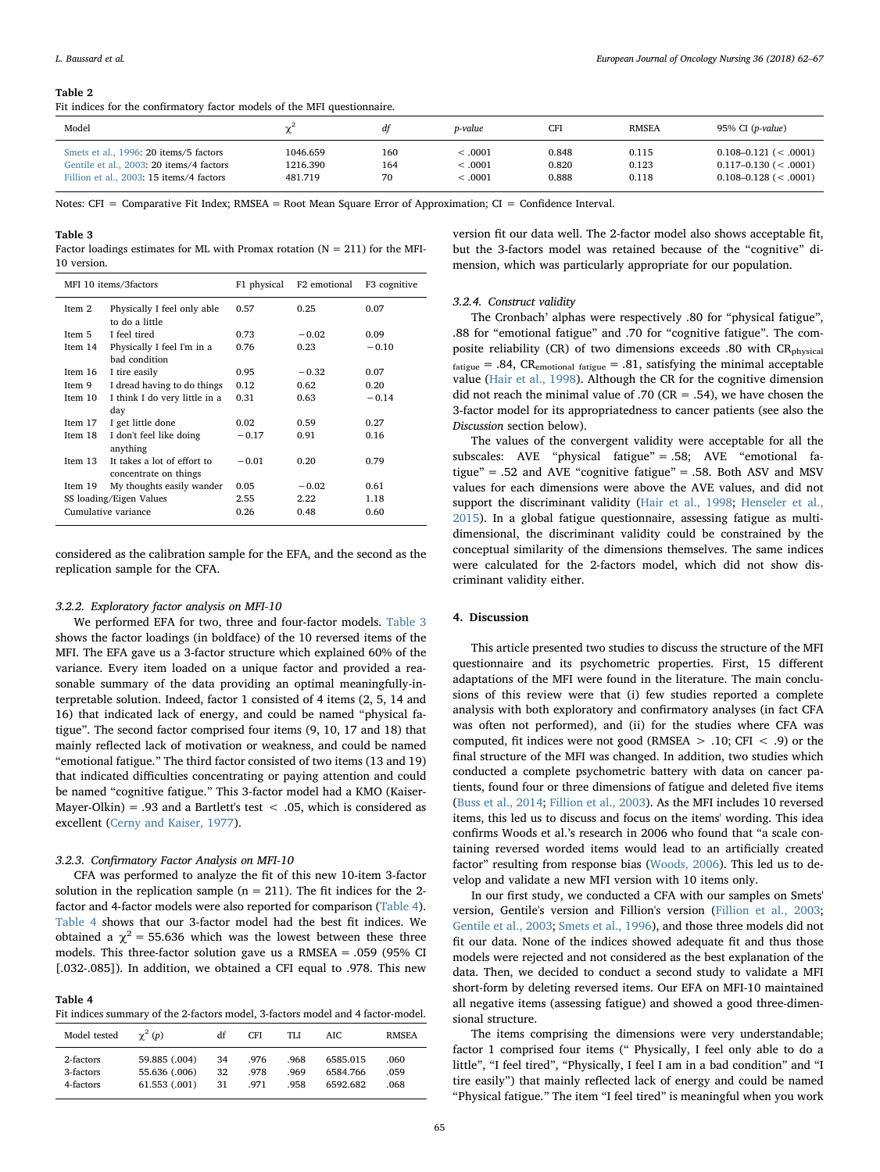#### <span id="page-3-0"></span>Table 2

Fit indices for the confirmatory factor models of the MFI questionnaire.

| Model                                    | $\sim$   | df  | p-value | CFI   | <b>RMSEA</b> | 95% CI $(p-value)$        |
|------------------------------------------|----------|-----|---------|-------|--------------|---------------------------|
| Smets et al., 1996: 20 items/5 factors   | 1046.659 | 160 | < 0.001 | 0.848 | 0.115        | $0.108 - 0.121$ (< .0001) |
| Gentile et al., 2003: 20 items/4 factors | 1216.390 | 164 | < 0.001 | 0.820 | 0.123        | $0.117 - 0.130$ (< .0001) |
| Fillion et al., 2003: 15 items/4 factors | 481.719  | 70  | < 0.001 | 0.888 | 0.118        | $0.108 - 0.128$ (< .0001) |

Notes: CFI = Comparative Fit Index; RMSEA = Root Mean Square Error of Approximation; CI = Confidence Interval.

<span id="page-3-1"></span>Table 3

Factor loadings estimates for ML with Promax rotation ( $N = 211$ ) for the MFI-10 version.

| MFI 10 items/3factors   |                                                      | F1 physical | F <sub>2</sub> emotional | F3 cognitive |
|-------------------------|------------------------------------------------------|-------------|--------------------------|--------------|
| Item 2                  | Physically I feel only able<br>to do a little        | 0.57        | 0.25                     | 0.07         |
| Item 5                  | I feel tired                                         | 0.73        | $-0.02$                  | 0.09         |
| Item 14                 | Physically I feel I'm in a<br>bad condition          | 0.76        | 0.23                     | $-0.10$      |
| Item 16                 | I tire easily                                        | 0.95        | $-0.32$                  | 0.07         |
| Item 9                  | I dread having to do things                          | 0.12        | 0.62                     | 0.20         |
| Item 10                 | I think I do very little in a                        | 0.31        | 0.63                     | $-0.14$      |
|                         | day                                                  |             |                          |              |
| Item 17                 | I get little done                                    | 0.02        | 0.59                     | 0.27         |
| Item 18                 | I don't feel like doing<br>anything                  | $-0.17$     | 0.91                     | 0.16         |
| Item $13$               | It takes a lot of effort to<br>concentrate on things | $-0.01$     | 0.20                     | 0.79         |
| Item 19                 | My thoughts easily wander                            | 0.05        | $-0.02$                  | 0.61         |
| SS loading/Eigen Values |                                                      | 2.55        | 2.22                     | 1.18         |
| Cumulative variance     |                                                      | 0.26        | 0.48                     | 0.60         |

considered as the calibration sample for the EFA, and the second as the replication sample for the CFA.

## 3.2.2. Exploratory factor analysis on MFI-10

We performed EFA for two, three and four-factor models. [Table 3](#page-3-1) shows the factor loadings (in boldface) of the 10 reversed items of the MFI. The EFA gave us a 3-factor structure which explained 60% of the variance. Every item loaded on a unique factor and provided a reasonable summary of the data providing an optimal meaningfully-interpretable solution. Indeed, factor 1 consisted of 4 items (2, 5, 14 and 16) that indicated lack of energy, and could be named "physical fatigue". The second factor comprised four items (9, 10, 17 and 18) that mainly reflected lack of motivation or weakness, and could be named "emotional fatigue." The third factor consisted of two items (13 and 19) that indicated difficulties concentrating or paying attention and could be named "cognitive fatigue." This 3-factor model had a KMO (Kaiser-Mayer-Olkin) = .93 and a Bartlett's test  $\langle$  .05, which is considered as excellent ([Cerny and Kaiser, 1977](#page-4-19)).

#### 3.2.3. Confirmatory Factor Analysis on MFI-10

CFA was performed to analyze the fit of this new 10-item 3-factor solution in the replication sample ( $n = 211$ ). The fit indices for the 2factor and 4-factor models were also reported for comparison [\(Table 4](#page-3-2)). [Table 4](#page-3-2) shows that our 3-factor model had the best fit indices. We obtained a  $\chi^2$  = 55.636 which was the lowest between these three models. This three-factor solution gave us a RMSEA = .059 (95% CI [.032-.085]). In addition, we obtained a CFI equal to .978. This new

<span id="page-3-2"></span>Table 4 Fit indices summary of the 2-factors model, 3-factors model and 4 factor-model.

| Model tested | $\gamma^2(p)$ | df | <b>CFI</b> | TI J | AIC.     | <b>RMSEA</b> |
|--------------|---------------|----|------------|------|----------|--------------|
| 2-factors    | 59.885 (.004) | 34 | .976       | .968 | 6585.015 | .060         |
| 3-factors    | 55.636 (.006) | 32 | .978       | .969 | 6584.766 | .059         |
| 4-factors    | 61.553 (.001) | 31 | .971       | .958 | 6592.682 | .068         |

version fit our data well. The 2-factor model also shows acceptable fit, but the 3-factors model was retained because of the "cognitive" dimension, which was particularly appropriate for our population.

#### 3.2.4. Construct validity

The Cronbach' alphas were respectively .80 for "physical fatigue", .88 for "emotional fatigue" and .70 for "cognitive fatigue". The composite reliability (CR) of two dimensions exceeds .80 with CR<sub>physical</sub>  $f_{\text{stique}} = .84$ , CR<sub>emotional fatigue</sub> = .81, satisfying the minimal acceptable value [\(Hair et al., 1998](#page-4-17)). Although the CR for the cognitive dimension did not reach the minimal value of .70 ( $CR = .54$ ), we have chosen the 3-factor model for its appropriatedness to cancer patients (see also the Discussion section below).

The values of the convergent validity were acceptable for all the subscales: AVE "physical fatigue" = .58; AVE "emotional fatigue" = .52 and AVE "cognitive fatigue" = .58. Both ASV and MSV values for each dimensions were above the AVE values, and did not support the discriminant validity ([Hair et al., 1998;](#page-4-17) [Henseler et al.,](#page-4-18) [2015\)](#page-4-18). In a global fatigue questionnaire, assessing fatigue as multidimensional, the discriminant validity could be constrained by the conceptual similarity of the dimensions themselves. The same indices were calculated for the 2-factors model, which did not show discriminant validity either.

## 4. Discussion

This article presented two studies to discuss the structure of the MFI questionnaire and its psychometric properties. First, 15 different adaptations of the MFI were found in the literature. The main conclusions of this review were that (i) few studies reported a complete analysis with both exploratory and confirmatory analyses (in fact CFA was often not performed), and (ii) for the studies where CFA was computed, fit indices were not good (RMSEA  $> .10$ ; CFI  $< .9$ ) or the final structure of the MFI was changed. In addition, two studies which conducted a complete psychometric battery with data on cancer patients, found four or three dimensions of fatigue and deleted five items ([Buss et al., 2014;](#page-4-4) [Fillion et al., 2003](#page-4-5)). As the MFI includes 10 reversed items, this led us to discuss and focus on the items' wording. This idea confirms Woods et al.'s research in 2006 who found that "a scale containing reversed worded items would lead to an artificially created factor" resulting from response bias [\(Woods, 2006\)](#page-5-26). This led us to develop and validate a new MFI version with 10 items only.

In our first study, we conducted a CFA with our samples on Smets' version, Gentile's version and Fillion's version ([Fillion et al., 2003](#page-4-5); [Gentile et al., 2003](#page-4-11); [Smets et al., 1996](#page-5-15)), and those three models did not fit our data. None of the indices showed adequate fit and thus those models were rejected and not considered as the best explanation of the data. Then, we decided to conduct a second study to validate a MFI short-form by deleting reversed items. Our EFA on MFI-10 maintained all negative items (assessing fatigue) and showed a good three-dimensional structure.

The items comprising the dimensions were very understandable; factor 1 comprised four items (" Physically, I feel only able to do a little", "I feel tired", "Physically, I feel I am in a bad condition" and "I tire easily") that mainly reflected lack of energy and could be named "Physical fatigue." The item "I feel tired" is meaningful when you work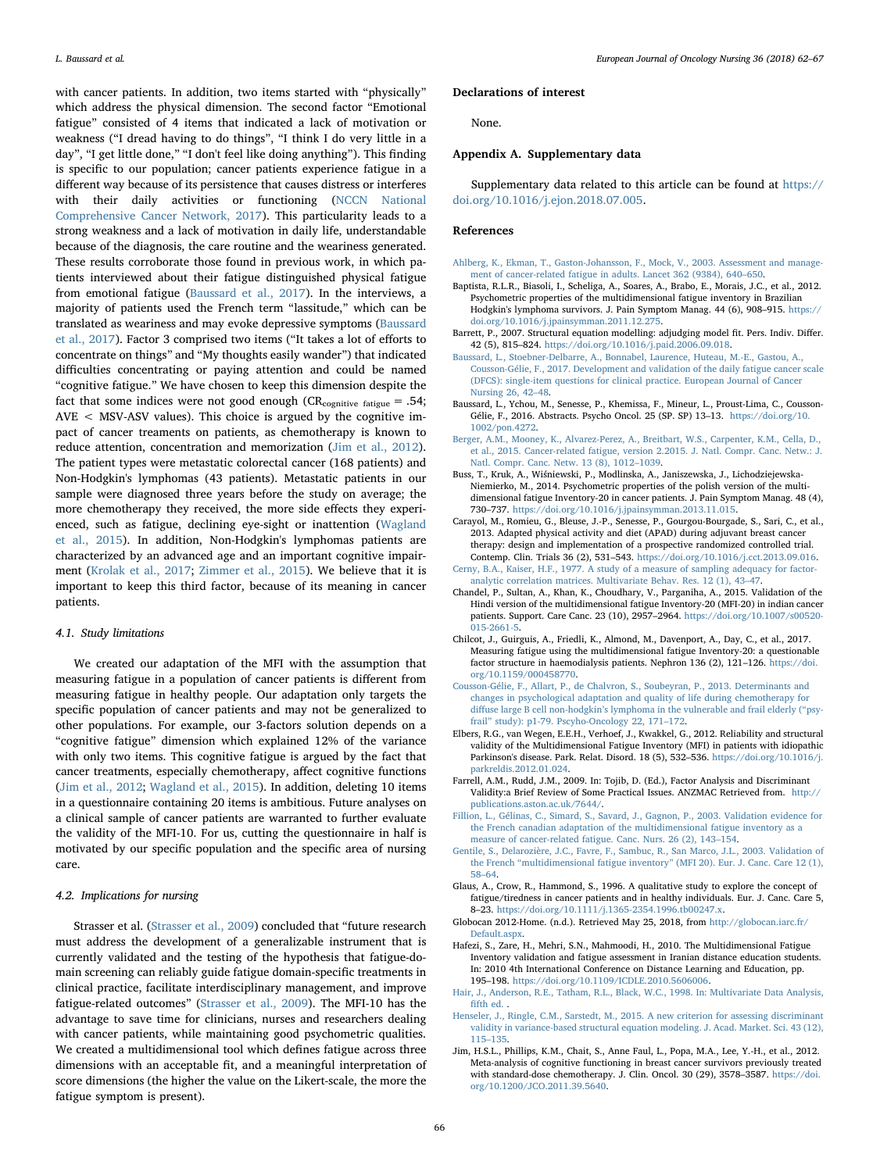with cancer patients. In addition, two items started with "physically" which address the physical dimension. The second factor "Emotional fatigue" consisted of 4 items that indicated a lack of motivation or weakness ("I dread having to do things", "I think I do very little in a day", "I get little done," "I don't feel like doing anything"). This finding is specific to our population; cancer patients experience fatigue in a different way because of its persistence that causes distress or interferes with their daily activities or functioning [\(NCCN National](#page-5-5) [Comprehensive Cancer Network, 2017\)](#page-5-5). This particularity leads to a strong weakness and a lack of motivation in daily life, understandable because of the diagnosis, the care routine and the weariness generated. These results corroborate those found in previous work, in which patients interviewed about their fatigue distinguished physical fatigue from emotional fatigue ([Baussard et al., 2017\)](#page-4-20). In the interviews, a majority of patients used the French term "lassitude," which can be translated as weariness and may evoke depressive symptoms [\(Baussard](#page-4-20) [et al., 2017](#page-4-20)). Factor 3 comprised two items ("It takes a lot of efforts to concentrate on things" and "My thoughts easily wander") that indicated difficulties concentrating or paying attention and could be named "cognitive fatigue." We have chosen to keep this dimension despite the fact that some indices were not good enough ( $CR_{\text{coentive failure}} = .54$ ;  $AVE < MSV-ASV$  values). This choice is argued by the cognitive impact of cancer treaments on patients, as chemotherapy is known to reduce attention, concentration and memorization [\(Jim et al., 2012](#page-4-21)). The patient types were metastatic colorectal cancer (168 patients) and Non-Hodgkin's lymphomas (43 patients). Metastatic patients in our sample were diagnosed three years before the study on average; the more chemotherapy they received, the more side effects they experienced, such as fatigue, declining eye-sight or inattention ([Wagland](#page-5-1) [et al., 2015](#page-5-1)). In addition, Non-Hodgkin's lymphomas patients are characterized by an advanced age and an important cognitive impairment ([Krolak et al., 2017](#page-5-27); [Zimmer et al., 2015\)](#page-5-28). We believe that it is important to keep this third factor, because of its meaning in cancer patients.

## 4.1. Study limitations

We created our adaptation of the MFI with the assumption that measuring fatigue in a population of cancer patients is different from measuring fatigue in healthy people. Our adaptation only targets the specific population of cancer patients and may not be generalized to other populations. For example, our 3-factors solution depends on a "cognitive fatigue" dimension which explained 12% of the variance with only two items. This cognitive fatigue is argued by the fact that cancer treatments, especially chemotherapy, affect cognitive functions ([Jim et al., 2012;](#page-4-21) [Wagland et al., 2015\)](#page-5-1). In addition, deleting 10 items in a questionnaire containing 20 items is ambitious. Future analyses on a clinical sample of cancer patients are warranted to further evaluate the validity of the MFI-10. For us, cutting the questionnaire in half is motivated by our specific population and the specific area of nursing care.

## 4.2. Implications for nursing

Strasser et al. [\(Strasser et al., 2009](#page-5-29)) concluded that "future research must address the development of a generalizable instrument that is currently validated and the testing of the hypothesis that fatigue-domain screening can reliably guide fatigue domain-specific treatments in clinical practice, facilitate interdisciplinary management, and improve fatigue-related outcomes" ([Strasser et al., 2009\)](#page-5-29). The MFI-10 has the advantage to save time for clinicians, nurses and researchers dealing with cancer patients, while maintaining good psychometric qualities. We created a multidimensional tool which defines fatigue across three dimensions with an acceptable fit, and a meaningful interpretation of score dimensions (the higher the value on the Likert-scale, the more the fatigue symptom is present).

#### Declarations of interest

None.

#### Appendix A. Supplementary data

Supplementary data related to this article can be found at [https://](https://doi.org/10.1016/j.ejon.2018.07.005) [doi.org/10.1016/j.ejon.2018.07.005](https://doi.org/10.1016/j.ejon.2018.07.005).

## References

- <span id="page-4-3"></span>[Ahlberg, K., Ekman, T., Gaston-Johansson, F., Mock, V., 2003. Assessment and manage](http://refhub.elsevier.com/S1462-3889(18)30088-7/sref1)[ment of cancer-related fatigue in adults. Lancet 362 \(9384\), 640](http://refhub.elsevier.com/S1462-3889(18)30088-7/sref1)–650.
- <span id="page-4-6"></span>Baptista, R.L.R., Biasoli, I., Scheliga, A., Soares, A., Brabo, E., Morais, J.C., et al., 2012. Psychometric properties of the multidimensional fatigue inventory in Brazilian Hodgkin's lymphoma survivors. J. Pain Symptom Manag. 44 (6), 908–915. [https://](https://doi.org/10.1016/j.jpainsymman.2011.12.275) [doi.org/10.1016/j.jpainsymman.2011.12.275](https://doi.org/10.1016/j.jpainsymman.2011.12.275).
- <span id="page-4-15"></span>Barrett, P., 2007. Structural equation modelling: adjudging model fit. Pers. Indiv. Differ. 42 (5), 815–824. <https://doi.org/10.1016/j.paid.2006.09.018>.
- <span id="page-4-20"></span>[Baussard, L., Stoebner-Delbarre, A., Bonnabel, Laurence, Huteau, M.-E., Gastou, A.,](http://refhub.elsevier.com/S1462-3889(18)30088-7/sref4) [Cousson-Gélie, F., 2017. Development and validation of the daily fatigue cancer scale](http://refhub.elsevier.com/S1462-3889(18)30088-7/sref4) [\(DFCS\): single-item questions for clinical practice. European Journal of Cancer](http://refhub.elsevier.com/S1462-3889(18)30088-7/sref4) [Nursing 26, 42](http://refhub.elsevier.com/S1462-3889(18)30088-7/sref4)–48.
- <span id="page-4-12"></span>Baussard, L., Ychou, M., Senesse, P., Khemissa, F., Mineur, L., Proust-Lima, C., Cousson-Gélie, F., 2016. Abstracts. Psycho Oncol. 25 (SP. SP) 13–13. [https://doi.org/10.](https://doi.org/10.1002/pon.4272) [1002/pon.4272.](https://doi.org/10.1002/pon.4272)
- <span id="page-4-1"></span>[Berger, A.M., Mooney, K., Alvarez-Perez, A., Breitbart, W.S., Carpenter, K.M., Cella, D.,](http://refhub.elsevier.com/S1462-3889(18)30088-7/sref6) [et al., 2015. Cancer-related fatigue, version 2.2015. J. Natl. Compr. Canc. Netw.: J.](http://refhub.elsevier.com/S1462-3889(18)30088-7/sref6) [Natl. Compr. Canc. Netw. 13 \(8\), 1012](http://refhub.elsevier.com/S1462-3889(18)30088-7/sref6)–1039.
- <span id="page-4-4"></span>Buss, T., Kruk, A., Wiśniewski, P., Modlinska, A., Janiszewska, J., Lichodziejewska-Niemierko, M., 2014. Psychometric properties of the polish version of the multidimensional fatigue Inventory-20 in cancer patients. J. Pain Symptom Manag. 48 (4), 730–737. <https://doi.org/10.1016/j.jpainsymman.2013.11.015>.
- <span id="page-4-13"></span>Carayol, M., Romieu, G., Bleuse, J.-P., Senesse, P., Gourgou-Bourgade, S., Sari, C., et al., 2013. Adapted physical activity and diet (APAD) during adjuvant breast cancer therapy: design and implementation of a prospective randomized controlled trial. Contemp. Clin. Trials 36 (2), 531–543. [https://doi.org/10.1016/j.cct.2013.09.016.](https://doi.org/10.1016/j.cct.2013.09.016) [Cerny, B.A., Kaiser, H.F., 1977. A study of a measure of sampling adequacy for factor-](http://refhub.elsevier.com/S1462-3889(18)30088-7/sref52)
- <span id="page-4-19"></span><span id="page-4-7"></span>[analytic correlation matrices. Multivariate Behav. Res. 12 \(1\), 43](http://refhub.elsevier.com/S1462-3889(18)30088-7/sref52)–47. Chandel, P., Sultan, A., Khan, K., Choudhary, V., Parganiha, A., 2015. Validation of the
- Hindi version of the multidimensional fatigue Inventory-20 (MFI-20) in indian cancer patients. Support. Care Canc. 23 (10), 2957–2964. [https://doi.org/10.1007/s00520-](https://doi.org/10.1007/s00520-015-2661-5) [015-2661-5](https://doi.org/10.1007/s00520-015-2661-5).
- <span id="page-4-8"></span>Chilcot, J., Guirguis, A., Friedli, K., Almond, M., Davenport, A., Day, C., et al., 2017. Measuring fatigue using the multidimensional fatigue Inventory-20: a questionable factor structure in haemodialysis patients. Nephron 136 (2), 121–126. [https://doi.](https://doi.org/10.1159/000458770) [org/10.1159/000458770.](https://doi.org/10.1159/000458770)
- <span id="page-4-14"></span>[Cousson-Gélie, F., Allart, P., de Chalvron, S., Soubeyran, P., 2013. Determinants and](http://refhub.elsevier.com/S1462-3889(18)30088-7/sref11) [changes in psychological adaptation and quality of life during chemotherapy for](http://refhub.elsevier.com/S1462-3889(18)30088-7/sref11) diffuse large B cell non-hodgkin'[s lymphoma in the vulnerable and frail elderly \(](http://refhub.elsevier.com/S1462-3889(18)30088-7/sref11)"psyfrail" [study\): p1-79. Pscyho-Oncology 22, 171](http://refhub.elsevier.com/S1462-3889(18)30088-7/sref11)–172.
- <span id="page-4-9"></span>Elbers, R.G., van Wegen, E.E.H., Verhoef, J., Kwakkel, G., 2012. Reliability and structural validity of the Multidimensional Fatigue Inventory (MFI) in patients with idiopathic Parkinson's disease. Park. Relat. Disord. 18 (5), 532–536. [https://doi.org/10.1016/j.](https://doi.org/10.1016/j.parkreldis.2012.01.024) [parkreldis.2012.01.024](https://doi.org/10.1016/j.parkreldis.2012.01.024).
- <span id="page-4-16"></span>Farrell, A.M., Rudd, J.M., 2009. In: Tojib, D. (Ed.), Factor Analysis and Discriminant Validity:a Brief Review of Some Practical Issues. ANZMAC Retrieved from. [http://](http://publications.aston.ac.uk/7644/) [publications.aston.ac.uk/7644/](http://publications.aston.ac.uk/7644/).
- <span id="page-4-5"></span>[Fillion, L., Gélinas, C., Simard, S., Savard, J., Gagnon, P., 2003. Validation evidence for](http://refhub.elsevier.com/S1462-3889(18)30088-7/sref14) [the French canadian adaptation of the multidimensional fatigue inventory as a](http://refhub.elsevier.com/S1462-3889(18)30088-7/sref14) [measure of cancer-related fatigue. Canc. Nurs. 26 \(2\), 143](http://refhub.elsevier.com/S1462-3889(18)30088-7/sref14)–154.
- <span id="page-4-11"></span>[Gentile, S., Delarozière, J.C., Favre, F., Sambuc, R., San Marco, J.L., 2003. Validation of](http://refhub.elsevier.com/S1462-3889(18)30088-7/sref15) the French "multidimensional fatigue inventory" [\(MFI 20\). Eur. J. Canc. Care 12 \(1\),](http://refhub.elsevier.com/S1462-3889(18)30088-7/sref15) 58–[64](http://refhub.elsevier.com/S1462-3889(18)30088-7/sref15).
- <span id="page-4-2"></span>Glaus, A., Crow, R., Hammond, S., 1996. A qualitative study to explore the concept of fatigue/tiredness in cancer patients and in healthy individuals. Eur. J. Canc. Care 5, 8–23. <https://doi.org/10.1111/j.1365-2354.1996.tb00247.x>.
- <span id="page-4-0"></span>Globocan 2012-Home. (n.d.). Retrieved May 25, 2018, from [http://globocan.iarc.fr/](http://globocan.iarc.fr/Default.aspx) [Default.aspx](http://globocan.iarc.fr/Default.aspx).
- <span id="page-4-10"></span>Hafezi, S., Zare, H., Mehri, S.N., Mahmoodi, H., 2010. The Multidimensional Fatigue Inventory validation and fatigue assessment in Iranian distance education students. In: 2010 4th International Conference on Distance Learning and Education, pp. 195–198. [https://doi.org/10.1109/ICDLE.2010.5606006.](https://doi.org/10.1109/ICDLE.2010.5606006)
- <span id="page-4-17"></span>[Hair, J., Anderson, R.E., Tatham, R.L., Black, W.C., 1998. In: Multivariate Data Analysis,](http://refhub.elsevier.com/S1462-3889(18)30088-7/sref19) fi[fth ed.](http://refhub.elsevier.com/S1462-3889(18)30088-7/sref19) .
- <span id="page-4-18"></span>[Henseler, J., Ringle, C.M., Sarstedt, M., 2015. A new criterion for assessing discriminant](http://refhub.elsevier.com/S1462-3889(18)30088-7/sref20) [validity in variance-based structural equation modeling. J. Acad. Market. Sci. 43 \(12\),](http://refhub.elsevier.com/S1462-3889(18)30088-7/sref20) 115–[135](http://refhub.elsevier.com/S1462-3889(18)30088-7/sref20).
- <span id="page-4-21"></span>Jim, H.S.L., Phillips, K.M., Chait, S., Anne Faul, L., Popa, M.A., Lee, Y.-H., et al., 2012. Meta-analysis of cognitive functioning in breast cancer survivors previously treated with standard-dose chemotherapy. J. Clin. Oncol. 30 (29), 3578–3587. [https://doi.](https://doi.org/10.1200/JCO.2011.39.5640) [org/10.1200/JCO.2011.39.5640](https://doi.org/10.1200/JCO.2011.39.5640).